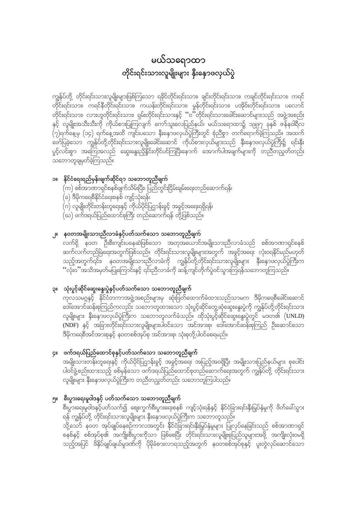# မယ်သရောထာ တိုင်းရင်းသားလူမျိုးများ နှီးနှောဖလှယ်ပွဲ

ကျွန်ုပ်တို့ တိုင်းရင်းသားလူမျိုးများဖြစ်ကြသော ရခိုင်တိုင်းရင်းသား၊ ချင်းတိုင်းရင်းသား၊ ကချင်တိုင်းရင်းသား၊ ကရင် တိုင်းရင်းသား၊ လားဟူတိုင်းရင်းသား၊ ရှမ်းတိုင်းရင်းသားနှင့် ''ဝ''တိုင်းရင်းသားခေါင်းဆောင်များသည် အဖွဲ့အစည်း ု့<br>နှင့် လူမျိုးအသီးသီးကို ကိုယ်စားပြုကြလျက် ကော်သူးလေပြည်နယ်၊ မယ်သရောထာ၌ ၁၉၉၇ ခုနှစ် ဇန်နဝါရီလ .<br>(၇)ရက်နေ့မှ (၁၄) ရက်နေ့အထိ ကျင်းပသော နှီးနှောဖလှယ်ပွဲကြီးတွင် စုံညီစွာ တက်ရောက်ခဲ့ကြသည်။ အထက် ုိ"်<br>ဖော်ပြခဲ့သော ကျွန်ုပ်တို့တိုင်းရင်းသားလူမျိုးခေါင်းဆောင် ကိုယ်စားလှယ်များသည် နှီးနောဖလှယ်ပွဲကြီး၌ ရင်းနှီး ပွင့်လင်းစွာ အကြေအလည် ဆွေးနွေးညှိနိုင်းတိုင်ပင်ကြပြီးနောက် အောက်ပါအချက်များကို တညီတညွှတ်တည်း သဘောတူချမှတ်ခဲ့ကြသည်။

### ၁။ နိုင်ငံရေးရည်မှန်းချက်ဆိုင်ရာ သဘောတူညီချက်

- $(\alpha)$  စစ်အာဏာရှင်စနစ်ဖျက်သိမ်းပြီး၊ ပြည်တွင်းငြိမ်းချမ်းရေးတည်ဆောက်ရန်၊
- (ခ) ဒီမိုကရေစီနိုင်ငံရေးစနစ် ကျင့်သုံးရန်၊
- (ဂ) လူမျိုးတိုင်းတန်းတူရေးနှင့် ကိုယ်ပိုင်ပြဌာန်းခွင့် အခွင့်အရေးရရှိရန်၊
- ုပ်) ဖက်ဒရယ်ပြည်ထောင်စုကြီး တည်ဆောက်ရန် တို့ဖြစ်သည်။

### ၂။ နဝတအမျိုးသားညီလာခံနှင့်ပတ်သက်သော သဘောတူညီချက်

ာ<br>လက်ရှိ နဝတ ဦးစီးကျင်းပနေဆဲဖြစ်သော အတုအယောင်အမျိုးသားညီလာခံသည် စစ်အာဏာရှင်စနစ် ဆက်လက်တည်မြဲရေးအတွက်ဖြစ်သည်။ တိုင်းရင်းသားလူမျိုးများအတွက် အခွင့်အရေး လုံးဝရနိုင်မည်မဟုတ် သည့်အတွက်၎င်း၊ နဝတအမျိုးသားညီလာခံကို ကျွန်ုပ်တို့တိုင်းရင်းသားလူမျိုးများ နှီးနှောဖလှယ်ပွဲကြီးက ''လုံးဝ''အသိအမှတ်မပြုကြောင်းနှင့် ၎င်းညီလာခံကို ဆန့်ကျင်တိုက်ပွဲဝင်သွားကြရန်သဘောတူကြသည်။

### ၃။ သုံးပွင့်ဆိုင်ဆွေးနွေးပွဲနှင့်ပတ်သက်သော သဘောတူညီချက်

ကုလသမဂ္ဂနှင့် နိုင်ငံတကာအဖွဲ့အစည်းများမှ ဆုံးဖြတ်ထောက်ခံထားသည်သာမက ဒီမိုကရေစီခေါင်းဆောင် ဒေါ်အောင်ဆန်းစုကြည်ကလည်း သဘောတူထားသော သုံးပွင့်ဆိုင်တွေ့ဆုံဆွေးနွေးပွဲကို ကျွန်ုပ်တို့တိုင်းရင်းသား လူမျိုးများ နှီးနှောဖလှယ်ပွဲကြိုးက သဘောတူလက်ခံသည်။ ထိုသုံးပွင့်ဆိုင်ဆွေးနွေးပွဲတွင် မဒတ၏ (UNLD) -<br>ဒီမိုကရေစီအင်အားစုနှင့် နဝတစစ်အုပ်စု အင်အားစု၊ သုံးစုတို့ပါဝင်စေရမည်။

### ၄။ ဖက်ဒရယ်ပြည်ထောင်စုနှင့်ပတ်သက်သော သဘောတူညီချက်

အမျိုးသားတန်းတူရေးနှင့် ကိုယ်ပိုင်ပြဌာန်းခွင့် အခွင့်အရေး အပြည့်အဝရှိပြီး အမျိုးသားပြည်နယ်များ စုပေါင်း ပါဝင်ဖွဲ့စည်းထားသည့် စစ်မှန်သော ဖက်ဒရယ်ပြည်ထောင်စုတည်ဆောက်ရေးအတွက် ကျွန်ုပ်တို့ တိုင်းရင်းသား လူမျိုးများ နှီးနောဖလှယ်ပွဲကြီးက တညီတညွှတ်တည်း သဘောတူကြပါသည်။

## ၅။ စီးပွားရေးမူဝါဒနှင့် ပတ်သက်သော သဘောတူညီချက်

္သားေရးမူဝါဒနှင့်ပတ်သက်၍ ဈေးကွက်စီးပွားရေးစနစ် ကျင့်သုံးရန်နှင့် နိုင်ငံခြားရင်းနှီးမြှပ်နှံမှုကို ဖိတ်ခေါ်သွား ရန် ကျွန်ုပ်တို့ တိုင်းရင်းသားလူမျိုးများ နိုးနှောဖလှယ်ပွဲကြီးက သဘောတူသည်။

သို့သော် နဝတ အုပ်ချုပ်နေစဉ်ကာလအတွင်း နိုင်ငံခြားရင်းနှီးမြှပ်နှံမှုများ ပြုလုပ်နေခြင်းသည် စစ်အာဏာရှင် စနစ်နှင့် စစ်အုပ်စု၏ အကျိုးစီးပွားကိုသာ ဖြစ်စေပြီး တိုင်းရင်းသားလူမျိုးစုပြည်သူများအဖို့ အကျိုးလုံးဝမ်ရှိ သည့်အပြင် ဖိနှိပ်ချုပ်ချယ်မှုဒဏ်ကို ပိုမိုခံစားလာရသည့်အတွက် နဝတစစ်အုပ်စုနှင့် ပူးတွဲလုပ်ဆောင်သော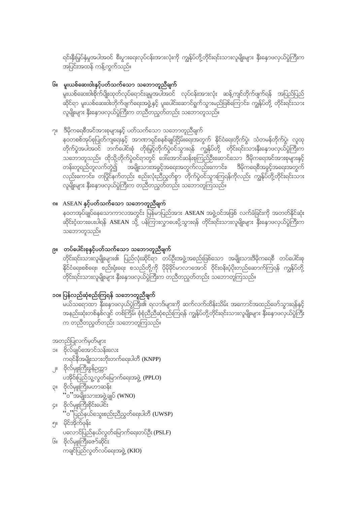ရင်းနှီးမြှပ်နှံမှုအပါအဝင် စီးပွားရေးလုပ်ငန်းအားလုံးကို ကျွန်ုပ်တို့တိုင်းရင်းသားလူမျိုးများ နှီးနှောဖလှယ်ပွဲကြီးက ာ<br>အပြင်းအထန် ကန့်ကွက်သည်။

### <sup>၆။</sup> မူးယစ်ဆေးဝါးနှင့်ပတ်သက်သော သဘောတူညီချက်

.<br>ဆိုင်ရာ မူးယစ်ဆေးဝါးတိုက်ဖျက်ရေးအဖွဲ့နှင့် ပူးပေါင်းဆောင်ရွက်သွားမည်ဖြစ်ကြောင်း၊ ကျွန်ုပ်တို့ တိုင်းရင်းသား ုပ္ပြဲ ။<br>လူမျိုးများ နိုးနောဖလှယ်ပွဲကြီးက တညီတညွှတ်တည်း သဘောတူသည်။

### ၇။ ဒီမိုကရေစီအင်အားစုများနှင့် ပတ်သက်သော သဘောတူညီချက်

နဝတစစ်အုပ်စုပြုတ်ကျရေးနှင့် အာဏာရှင်စနစ်ချုပ်ငြိမ်းရေးအတွက် နိုင်ငံရေးတိုက်ပွဲ၊ သံတမန်တိုက်ပွဲ၊ လူထု .<br>တိုက်ပွဲအပါအဝင် ဘက်ပေါင်းစုံ တိုးမြှင့်တိုက်ပွဲဝင်သွားရန် ကျွန်ုပ်တို့ တိုင်းရင်းသားနှီးနောဖလှယ်ပွဲကြီးက သဘောတူသည်။ ထိုသို့တိုက်ပွဲဝင်ရာတွင် ဒေါ်အောင်ဆန်းစုကြည်ဦးဆောင်သော ဒီမိုကရေအင်အားစုများနှင့် တန်းတူရည်တူလက်တွဲ၍ အမျိုးသားအခွင့်အရေးအတွက်လည်းကောင်း၊ ဒီမိုကရေစီအခွင့်အရေးအတွက် လည်းကောင်း၊ တပြိုင်နက်တည်း စည်းလုံးညီညွှတ်စွာ တိုက်ပွဲဝင်သွားကြရန်ကိုလည်း ကျွန်ုပ်တို့တိုင်းရင်းသား လူမျိုးများ နိုးနောဖလှယ်ပွဲကြီးက တညီတညွတ်တည်း သဘောတူကြသည်။

## ၈။ ASEAN နှင့်ပတ်သက်သော သဘောတူညီချက်

နဝတအုပ်ချုပ်နေသောကာလအတွင်း မြန်မာပြည်အား ASEAN အဖွဲ့ဝင်အဖြစ် လက်ခံခြင်းကို အတတ်နိုင်ဆုံး ဆိုင်းငံ့ထားပေးပါရန် ASEAN သို့ ပန်ကြားလွှာပေးပို့သွားရန် တိုင်းရင်းသားလူမျိုးများ နှီးနှောဖလှယ်ပွဲကြီးက သဘောတူသည်။

### ၉။ တပ်ပေါင်းစုနှင့်ပတ်သက်သော သဘောတူညီချက်

နိုင်ငံရေး၊စစ်ရေး၊ စည်းရုံးရေး စသည်တို့ကို ပိုမိုနိုင်မာလာအောင် ဝိုင်းဝန်းပံ့ပိုးတည်ဆောက်ကြရန် ကျွန်ုပ်တို့ .<br>တိုင်းရင်းသားလူမျိုးများ နှီးနှောဖလှယ်ပွဲကြီးက တညီတညွှတ်တည်း သဘောတူကြသည်။

### ၁၀။ ပြန်လည်ဆုံစည်းကြရန် သဘောတူညီချက်

အနည်းဆုံးတစ်နှစ်လျင် တစ်ကြိမ်၊ စုံစုံညှိညီဆုံစည်းကြရန် ကျွန်ုပ်တို့တိုင်းရင်းသားလူမျိုးများ နိုးနောဖလှယ်ပွဲကြီး က တညီတညွတ်တည်း သဘောတူကြသည်။

အတည်ပြုလက်မှတ်များ

- ၁။ ဗိုလ်ချုပ်အောင်သန်းလေး ကရင်နီအမျိုးသားတိုးတက်ရေးပါတီ (KNPP)
- ၂။ ဗိုလ်မှူးကြီးခွန်ဥက္က၁ ပအိုဝ်းပြည်သူ့လွှတ်မြောက်ရေးအဖွဲ့ (PPLO) ၃။ ဗိုလ်မျုးကြီးမဟာသန်း
	- ''ဝ''အမျိုးသားအဖွဲ့ချုပ် (WNO)
- ၂ ဗိုလ်မျုးကြီးစိုင်းပေါင်း "၀"ပြည်နယ်သွေးစည်းညီညွှတ်ရေးပါတီ (UWSP)
- ၅။ မိုင်အိုက်ဖုန်း ပလောင်ပြည်နယ်လွတ်မြောက်ရေးတပ်ဦး (PSLF)
- ၆။ ဗိုလ်မျုးကြီးဇော်ဆိုင်း ကချင်ပြည်လွတ်လပ်ရေးအဖွဲ့ (KIO)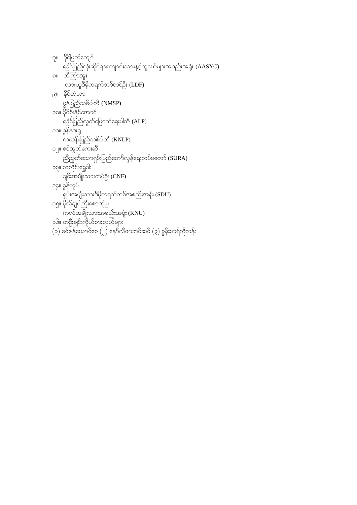|           | ၇။ ခိုင်မြတ်ကျော်                                               |
|-----------|-----------------------------------------------------------------|
|           | ရခိုင်ပြည်လုံးဆိုင်ရာကျောင်းသားနှင့်လူငယ်များအစည်းအရုံး (AASYC) |
| <b>ဂ။</b> | ာ္တယ္ပြဲသမီး                                                    |
|           | လားဟူဒီမိုကရက်တစ်တပ်ဦး (LDF)                                    |
|           | ၉။ နိုင်ဟံသာ                                                    |
|           | မွန်ပြည်သစ်ပါတီ (NMSP)                                          |
|           | ၁၀။ ခိုင်စိုးနိုင်အောင်                                         |
|           | ရခိုင်ပြည်လွတ်မြောက်ရေးပါတီ (ALP)                               |
|           | ၁၁။ ခွန်နားရှ                                                   |
|           | ကယန်းပြည်သစ်ပါတီ (KNLP)                                         |
|           | ၁၂။ စဝ်အွတ်ကေးဆီ                                                |
|           | ညီညွတ်သောရှမ်းပြည်တော်လှန်ရေးတပ်မတော် (SURA)                    |
|           | ၁၃။ ဆလိုင်းရွှေခါး                                              |
|           | ချင်းအမျိုးသားတပ်ဦး (CNF)                                       |
|           | ၁၄။ ခွန်ဟုမ်                                                    |
|           | ရှမ်းအမျိုးသားဒီမိုကရက်တစ်အစည်းအရုံး (SDU)                      |
|           | ၁၅။ ဗိုလ်ချုပ်ကြီးစောဘိုမြ                                      |
|           | ကရင်အမျိုးသားအစည်းအရုံး (KNU)                                   |
|           | ၁၆။ တဦးချင်းကိုယ်စားလှယ်များ                                    |
|           | (၁) စဝ်ဇန်ယောင်ဝေ (၂) နော်လီဇာဘင်ဆင် (၃) ခွန်းမာရ်ကိုဘန်း       |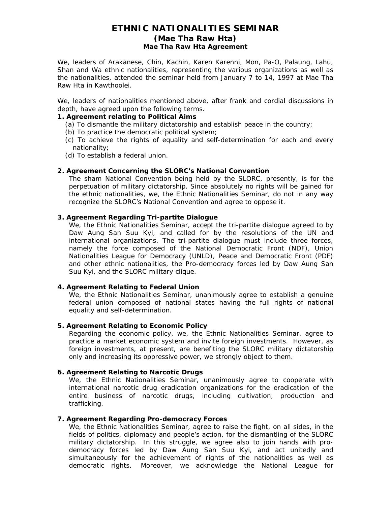### **ETHNIC NATIONALITIES SEMINAR (Mae Tha Raw Hta) Mae Tha Raw Hta Agreement**

We, leaders of Arakanese, Chin, Kachin, Karen Karenni, Mon, Pa-O, Palaung, Lahu, Shan and Wa ethnic nationalities, representing the various organizations as well as the nationalities, attended the seminar held from January 7 to 14, 1997 at Mae Tha Raw Hta in Kawthoolei.

We, leaders of nationalities mentioned above, after frank and cordial discussions in depth, have agreed upon the following terms.

#### **1. Agreement relating to Political Aims**

- (a) To dismantle the military dictatorship and establish peace in the country;
- (b) To practice the democratic political system;
- (c) To achieve the rights of equality and self-determination for each and every nationality;
- (d) To establish a federal union.

#### **2. Agreement Concerning the SLORC's National Convention**

The sham National Convention being held by the SLORC, presently, is for the perpetuation of military dictatorship. Since absolutely no rights will be gained for the ethnic nationalities, we, the Ethnic Nationalities Seminar, do not in any way recognize the SLORC's National Convention and agree to oppose it.

#### **3. Agreement Regarding Tri-partite Dialogue**

We, the Ethnic Nationalities Seminar, accept the tri-partite dialogue agreed to by Daw Aung San Suu Kyi, and called for by the resolutions of the UN and international organizations. The tri-partite dialogue must include three forces, namely the force composed of the National Democratic Front (NDF), Union Nationalities League for Democracy (UNLD), Peace and Democratic Front (PDF) and other ethnic nationalities, the Pro-democracy forces led by Daw Aung San Suu Kyi, and the SLORC military clique.

#### **4. Agreement Relating to Federal Union**

We, the Ethnic Nationalities Seminar, unanimously agree to establish a genuine federal union composed of national states having the full rights of national equality and self-determination.

#### **5. Agreement Relating to Economic Policy**

Regarding the economic policy, we, the Ethnic Nationalities Seminar, agree to practice a market economic system and invite foreign investments. However, as foreign investments, at present, are benefiting the SLORC military dictatorship only and increasing its oppressive power, we strongly object to them.

#### **6. Agreement Relating to Narcotic Drugs**

We, the Ethnic Nationalities Seminar, unanimously agree to cooperate with international narcotic drug eradication organizations for the eradication of the entire business of narcotic drugs, including cultivation, production and trafficking.

#### **7. Agreement Regarding Pro-democracy Forces**

We, the Ethnic Nationalities Seminar, agree to raise the fight, on all sides, in the fields of politics, diplomacy and people's action, for the dismantling of the SLORC military dictatorship. In this struggle, we agree also to join hands with prodemocracy forces led by Daw Aung San Suu Kyi, and act unitedly and simultaneously for the achievement of rights of the nationalities as well as democratic rights. Moreover, we acknowledge the National League for